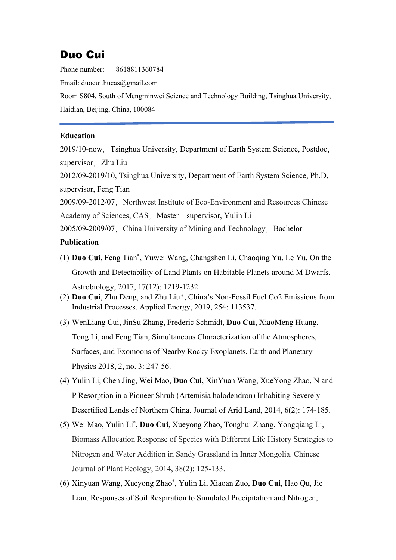## Duo Cui

Phone number: +8618811360784

Email: duocuithucas@gmail.com

Room S804, South of Mengminwei Science and Technology Building, Tsinghua University, Haidian, Beijing, China, 100084

## **Education**

2019/10-now,Tsinghua University, Department of Earth System Science, Postdoc, supervisor. Zhu Liu

2012/09-2019/10, Tsinghua University, Department of Earth System Science, Ph.D, supervisor, Feng Tian

2009/09-2012/07. Northwest Institute of Eco-Environment and Resources Chinese Academy of Sciences, CAS, Master, supervisor, Yulin Li

2005/09-2009/07, China University of Mining and Technology, Bachelor

## **Publication**

- (1) **Duo Cui**, Feng Tian\* , Yuwei Wang, Changshen Li, Chaoqing Yu, Le Yu, On the Growth and Detectability of Land Plants on Habitable Planets around M Dwarfs. Astrobiology, 2017, 17(12): 1219-1232.
- (2) **Duo Cui**, Zhu Deng, and Zhu Liu\*, China's Non-Fossil Fuel Co2 Emissions from Industrial Processes. Applied Energy, 2019, 254: 113537.
- (3) WenLiang Cui, JinSu Zhang, Frederic Schmidt, **Duo Cui**, XiaoMeng Huang, Tong Li, and Feng Tian, Simultaneous Characterization of the Atmospheres, Surfaces, and Exomoons of Nearby Rocky Exoplanets. Earth and Planetary Physics 2018, 2, no. 3: 247-56.
- (4) Yulin Li, Chen Jing, Wei Mao, **Duo Cui**, XinYuan Wang, XueYong Zhao, N and P Resorption in a Pioneer Shrub (Artemisia halodendron) Inhabiting Severely Desertified Lands of Northern China. Journal of Arid Land, 2014, 6(2): 174-185.
- (5) Wei Mao, Yulin Li\* , **Duo Cui**, Xueyong Zhao, Tonghui Zhang, Yongqiang Li, Biomass Allocation Response of Species with Different Life History Strategies to Nitrogen and Water Addition in Sandy Grassland in Inner Mongolia. Chinese Journal of Plant Ecology, 2014, 38(2): 125-133.
- (6) Xinyuan Wang, Xueyong Zhao\* , Yulin Li, Xiaoan Zuo, **Duo Cui**, Hao Qu, Jie Lian, Responses of Soil Respiration to Simulated Precipitation and Nitrogen,